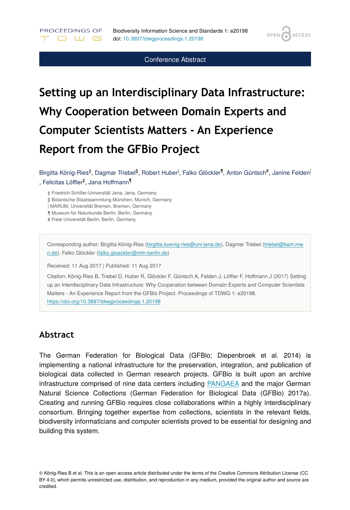**OPEN** 

**ACCESS** 

#### Conference Abstract

# **Setting up an Interdisciplinary Data Infrastructure: Why Cooperation between Domain Experts and Computer Scientists Matters - An Experience Report from the GFBio Project**

Birgitta König-Ries<sup>‡</sup>, Dagmar Triebel<sup>§</sup>, Robert Huber<sup>l</sup>, Falko Glöckler<sup>¶</sup>, Anton Güntsch<sup>#</sup>, Janine Felden<sup>l</sup> , Felicitas Löffler<sup>‡</sup>, Jana Hoffmann<sup>¶</sup>

‡ Friedrich-Schiller-Universität Jena, Jena, Germany

§ Botanische Staatssammlung München, Munich, Germany

| MARUM, Universität Bremen, Bremen, Germany

¶ Museum für Naturkunde Berlin, Berlin, Germany

# Freie Universität Berlin, Berlin, Germany

PROCEEDINGS OF

D W G

Corresponding author: Birgitta König-Ries [\(birgitta.koenig-ries@uni-jena.de\)](mailto:birgitta.koenig-ries@uni-jena.de), Dagmar Triebel ([triebel@bsm.mw](mailto:triebel@bsm.mwn.de) [n.de\)](mailto:triebel@bsm.mwn.de), Falko Glöckler [\(falko.gloeckler@mfn-berlin.de\)](mailto:falko.gloeckler@mfn-berlin.de)

Received: 11 Aug 2017 | Published: 11 Aug 2017

Citation: König-Ries B, Triebel D, Huber R, Glöckler F, Güntsch A, Felden J, Löffler F, Hoffmann J (2017) Setting up an Interdisciplinary Data Infrastructure: Why Cooperation between Domain Experts and Computer Scientists Matters - An Experience Report from the GFBio Project. Proceedings of TDWG 1: e20198. <https://doi.org/10.3897/tdwgproceedings.1.20198>

#### **Abstract**

The German Federation for Biological Data (GFBio; Diepenbroek et al. 2014) is implementing a national infrastructure for the preservation, integration, and publication of biological data collected in German research projects. GFBio is built upon an archive infrastructure comprised of nine data centers including [PANGAEA](https://www.pangaea.de/) and the major German Natural Science Collections (German Federation for Biological Data (GFBio) 2017a). Creating and running GFBio requires close collaborations within a highly interdisciplinary consortium. Bringing together expertise from collections, scientists in the relevant fields, biodiversity informaticians and computer scientists proved to be essential for designing and building this system.

© König-Ries B et al. This is an open access article distributed under the terms of the Creative Commons Attribution License (CC BY 4.0), which permits unrestricted use, distribution, and reproduction in any medium, provided the original author and source are credited.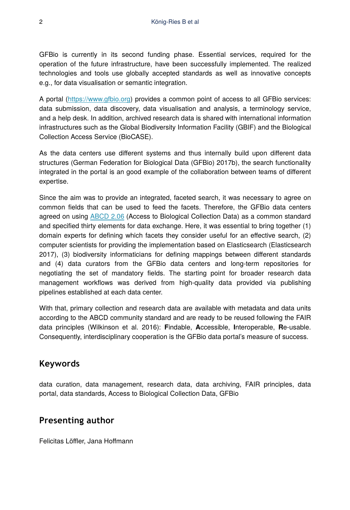GFBio is currently in its second funding phase. Essential services, required for the operation of the future infrastructure, have been successfully implemented. The realized technologies and tools use globally accepted standards as well as innovative concepts e.g., for data visualisation or semantic integration.

A portal (<https://www.gfbio.org>) provides a common point of access to all GFBio services: data submission, data discovery, data visualisation and analysis, a terminology service, and a help desk. In addition, archived research data is shared with international information infrastructures such as the Global Biodiversity Information Facility (GBIF) and the Biological Collection Access Service (BioCASE).

As the data centers use different systems and thus internally build upon different data structures (German Federation for Biological Data (GFBio) 2017b), the search functionality integrated in the portal is an good example of the collaboration between teams of different expertise.

Since the aim was to provide an integrated, faceted search, it was necessary to agree on common fields that can be used to feed the facets. Therefore, the GFBio data centers agreed on using [ABCD 2.06](https://github.com/tdwg/abcd) (Access to Biological Collection Data) as a common standard and specified thirty elements for data exchange. Here, it was essential to bring together (1) domain experts for defining which facets they consider useful for an effective search, (2) computer scientists for providing the implementation based on Elasticsearch (Elasticsearch 2017), (3) biodiversity informaticians for defining mappings between different standards and (4) data curators from the GFBio data centers and long-term repositories for negotiating the set of mandatory fields. The starting point for broader research data management workflows was derived from high-quality data provided via publishing pipelines established at each data center.

With that, primary collection and research data are available with metadata and data units according to the ABCD community standard and are ready to be reused following the FAIR data principles (Wilkinson et al. 2016): **F**indable, **A**ccessible, **I**nteroperable, **R**e-usable. Consequently, interdisciplinary cooperation is the GFBio data portal's measure of success.

## **Keywords**

data curation, data management, research data, data archiving, FAIR principles, data portal, data standards, Access to Biological Collection Data, GFBio

## **Presenting author**

Felicitas Löffler, Jana Hoffmann